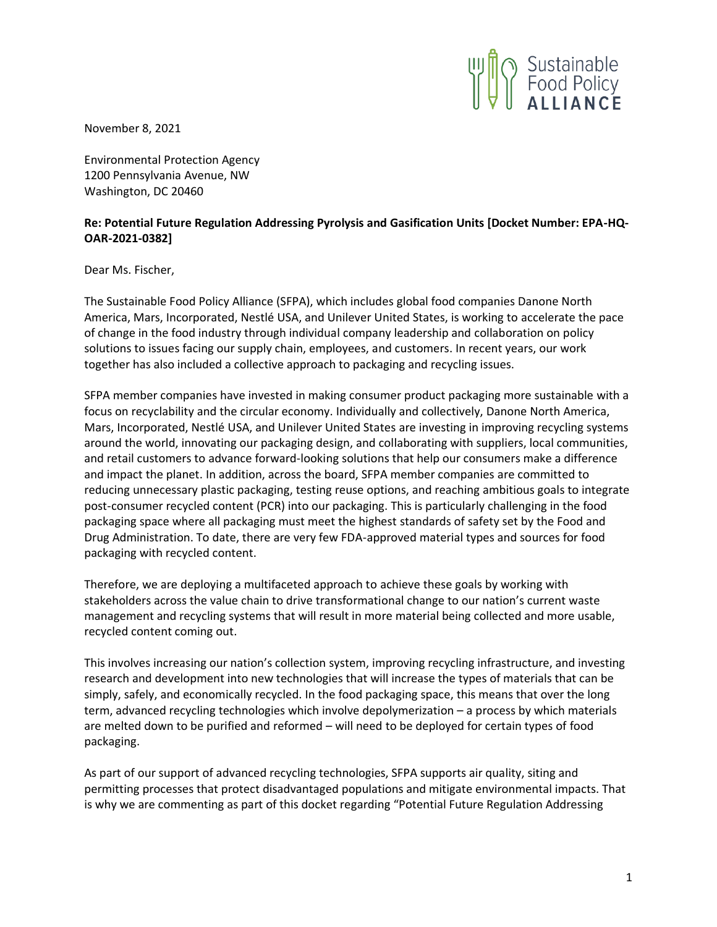

November 8, 2021

Environmental Protection Agency 1200 Pennsylvania Avenue, NW Washington, DC 20460

## **Re: Potential Future Regulation Addressing Pyrolysis and Gasification Units [Docket Number: EPA-HQ-OAR-2021-0382]**

Dear Ms. Fischer,

The Sustainable Food Policy Alliance (SFPA), which includes global food companies Danone North America, Mars, Incorporated, Nestlé USA, and Unilever United States, is working to accelerate the pace of change in the food industry through individual company leadership and collaboration on policy solutions to issues facing our supply chain, employees, and customers. In recent years, our work together has also included a collective approach to packaging and recycling issues.

SFPA member companies have invested in making consumer product packaging more sustainable with a focus on recyclability and the circular economy. Individually and collectively, Danone North America, Mars, Incorporated, Nestlé USA, and Unilever United States are investing in improving recycling systems around the world, innovating our packaging design, and collaborating with suppliers, local communities, and retail customers to advance forward-looking solutions that help our consumers make a difference and impact the planet. In addition, across the board, SFPA member companies are committed to reducing unnecessary plastic packaging, testing reuse options, and reaching ambitious goals to integrate post-consumer recycled content (PCR) into our packaging. This is particularly challenging in the food packaging space where all packaging must meet the highest standards of safety set by the Food and Drug Administration. To date, there are very few FDA-approved material types and sources for food packaging with recycled content.

Therefore, we are deploying a multifaceted approach to achieve these goals by working with stakeholders across the value chain to drive transformational change to our nation's current waste management and recycling systems that will result in more material being collected and more usable, recycled content coming out.

This involves increasing our nation's collection system, improving recycling infrastructure, and investing research and development into new technologies that will increase the types of materials that can be simply, safely, and economically recycled. In the food packaging space, this means that over the long term, advanced recycling technologies which involve depolymerization – a process by which materials are melted down to be purified and reformed – will need to be deployed for certain types of food packaging.

As part of our support of advanced recycling technologies, SFPA supports air quality, siting and permitting processes that protect disadvantaged populations and mitigate environmental impacts. That is why we are commenting as part of this docket regarding "Potential Future Regulation Addressing